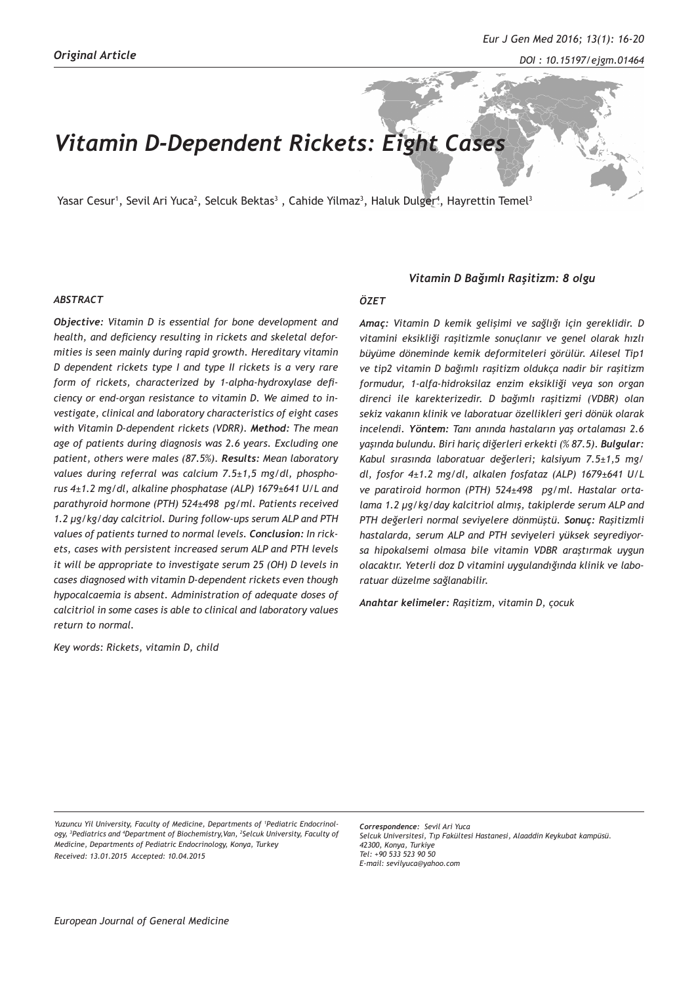# *Vitamin D-Dependent Rickets: Eight Cases*

Yasar Cesur<sup>1</sup>, Sevil Ari Yuca<sup>2</sup>, Selcuk Bektas<sup>3</sup> , Cahide Yilmaz<sup>3</sup>, Haluk Dulger<sup>4</sup>, Hayrettin Temel<sup>3</sup>

#### *ABSTRACT*

*Objective: Vitamin D is essential for bone development and health, and deficiency resulting in rickets and skeletal deformities is seen mainly during rapid growth. Hereditary vitamin D dependent rickets type I and type II rickets is a very rare form of rickets, characterized by 1-alpha-hydroxylase deficiency or end-organ resistance to vitamin D. We aimed to investigate, clinical and laboratory characteristics of eight cases with Vitamin D-dependent rickets (VDRR). Method: The mean age of patients during diagnosis was 2.6 years. Excluding one patient, others were males (87.5%). Results: Mean laboratory values during referral was calcium 7.5±1,5 mg/dl, phosphorus 4±1.2 mg/dl, alkaline phosphatase (ALP) 1679±641 U/L and parathyroid hormone (PTH) 524±498 pg/ml. Patients received 1.2 µg/kg/day calcitriol. During follow-ups serum ALP and PTH values of patients turned to normal levels. Conclusion: In rickets, cases with persistent increased serum ALP and PTH levels it will be appropriate to investigate serum 25 (OH) D levels in cases diagnosed with vitamin D-dependent rickets even though hypocalcaemia is absent. Administration of adequate doses of calcitriol in some cases is able to clinical and laboratory values return to normal.*

*Key words: Rickets, vitamin D, child* 

#### *Vitamin D Bağımlı Raşitizm: 8 olgu*

#### *ÖZET*

*Amaç: Vitamin D kemik gelişimi ve sağlığı için gereklidir. D vitamini eksikliği raşitizmle sonuçlanır ve genel olarak hızlı büyüme döneminde kemik deformiteleri görülür. Ailesel Tip1 ve tip2 vitamin D bağımlı raşitizm oldukça nadir bir raşitizm formudur, 1-alfa-hidroksilaz enzim eksikliği veya son organ direnci ile karekterizedir. D bağımlı raşitizmi (VDBR) olan sekiz vakanın klinik ve laboratuar özellikleri geri dönük olarak incelendi. Yöntem: Tanı anında hastaların yaş ortalaması 2.6 yaşında bulundu. Biri hariç diğerleri erkekti (% 87.5). Bulgular: Kabul sırasında laboratuar değerleri; kalsiyum 7.5±1,5 mg/ dl, fosfor 4±1.2 mg/dl, alkalen fosfataz (ALP) 1679±641 U/L ve paratiroid hormon (PTH) 524±498 pg/ml. Hastalar ortalama 1.2 µg/kg/day kalcitriol almış, takiplerde serum ALP and PTH değerleri normal seviyelere dönmüştü. Sonuç: Raşitizmli hastalarda, serum ALP and PTH seviyeleri yüksek seyrediyorsa hipokalsemi olmasa bile vitamin VDBR araştırmak uygun olacaktır. Yeterli doz D vitamini uygulandığında klinik ve laboratuar düzelme sağlanabilir.*

*Anahtar kelimeler: Raşitizm, vitamin D, çocuk*

*Yuzuncu Yil University, Faculty of Medicine, Departments of 1 Pediatric Endocrinology, 3 Pediatrics and 4 Department of Biochemistry,Van, 2 Selcuk University, Faculty of Medicine, Departments of Pediatric Endocrinology, Konya, Turkey Received: 13.01.2015 Accepted: 10.04.2015*

*Correspondence: Sevil Ari Yuca Selcuk Universitesi, Tıp Fakültesi Hastanesi, Alaaddin Keykubat kampüsü. 42300, Konya, Turkiye Tel: +90 533 523 90 50 E-mail: sevilyuca@yahoo.com*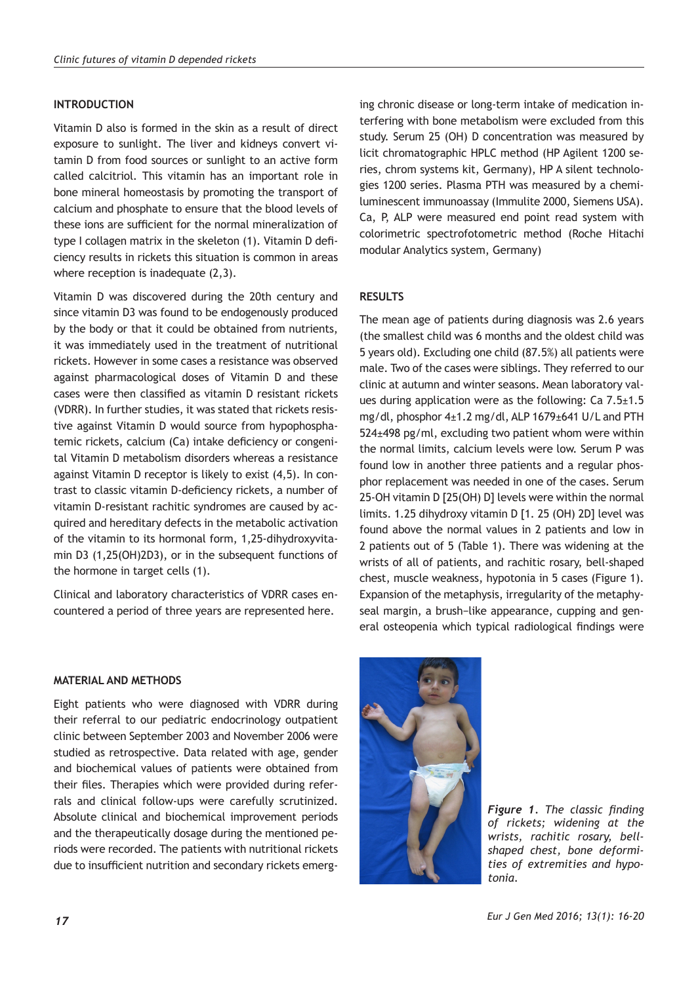## **INTRODUCTION**

Vitamin D also is formed in the skin as a result of direct exposure to sunlight. The liver and kidneys convert vitamin D from food sources or sunlight to an active form called calcitriol. This vitamin has an important role in bone mineral homeostasis by promoting the transport of calcium and phosphate to ensure that the blood levels of these ions are sufficient for the normal mineralization of type I collagen matrix in the skeleton (1). Vitamin D deficiency results in rickets this situation is common in areas where reception is inadequate (2,3).

Vitamin D was discovered during the 20th century and since vitamin D3 was found to be endogenously produced by the body or that it could be obtained from nutrients, it was immediately used in the treatment of nutritional rickets. However in some cases a resistance was observed against pharmacological doses of Vitamin D and these cases were then classified as vitamin D resistant rickets (VDRR). In further studies, it was stated that rickets resistive against Vitamin D would source from hypophosphatemic rickets, calcium (Ca) intake deficiency or congenital Vitamin D metabolism disorders whereas a resistance against Vitamin D receptor is likely to exist (4,5). In contrast to classic vitamin D-deficiency rickets, a number of vitamin D-resistant rachitic syndromes are caused by acquired and hereditary defects in the metabolic activation of the vitamin to its hormonal form, 1,25-dihydroxyvitamin D3 (1,25(OH)2D3), or in the subsequent functions of the hormone in target cells (1).

Clinical and laboratory characteristics of VDRR cases encountered a period of three years are represented here.

ing chronic disease or long-term intake of medication interfering with bone metabolism were excluded from this study. Serum 25 (OH) D concentration was measured by licit chromatographic HPLC method (HP Agilent 1200 series, chrom systems kit, Germany), HP A silent technologies 1200 series. Plasma PTH was measured by a chemiluminescent immunoassay (Immulite 2000, Siemens USA). Ca, P, ALP were measured end point read system with colorimetric spectrofotometric method (Roche Hitachi modular Analytics system, Germany)

## **RESULTS**

The mean age of patients during diagnosis was 2.6 years (the smallest child was 6 months and the oldest child was 5 years old). Excluding one child (87.5%) all patients were male. Two of the cases were siblings. They referred to our clinic at autumn and winter seasons. Mean laboratory values during application were as the following: Ca 7.5±1.5 mg/dl, phosphor 4±1.2 mg/dl, ALP 1679±641 U/L and PTH 524±498 pg/ml, excluding two patient whom were within the normal limits, calcium levels were low. Serum P was found low in another three patients and a regular phosphor replacement was needed in one of the cases. Serum 25-OH vitamin D [25(OH) D] levels were within the normal limits. 1.25 dihydroxy vitamin D [1. 25 (OH) 2D] level was found above the normal values in 2 patients and low in 2 patients out of 5 (Table 1). There was widening at the wrists of all of patients, and rachitic rosary, bell-shaped chest, muscle weakness, hypotonia in 5 cases (Figure 1). Expansion of the metaphysis, irregularity of the metaphyseal margin, a brush−like appearance, cupping and general osteopenia which typical radiological findings were

**MATERIAL AND METHODS**

Eight patients who were diagnosed with VDRR during their referral to our pediatric endocrinology outpatient clinic between September 2003 and November 2006 were studied as retrospective. Data related with age, gender and biochemical values of patients were obtained from their files. Therapies which were provided during referrals and clinical follow-ups were carefully scrutinized. Absolute clinical and biochemical improvement periods and the therapeutically dosage during the mentioned periods were recorded. The patients with nutritional rickets due to insufficient nutrition and secondary rickets emerg-



*Figure 1. The classic finding of rickets; widening at the wrists, rachitic rosary, bellshaped chest, bone deformities of extremities and hypotonia.*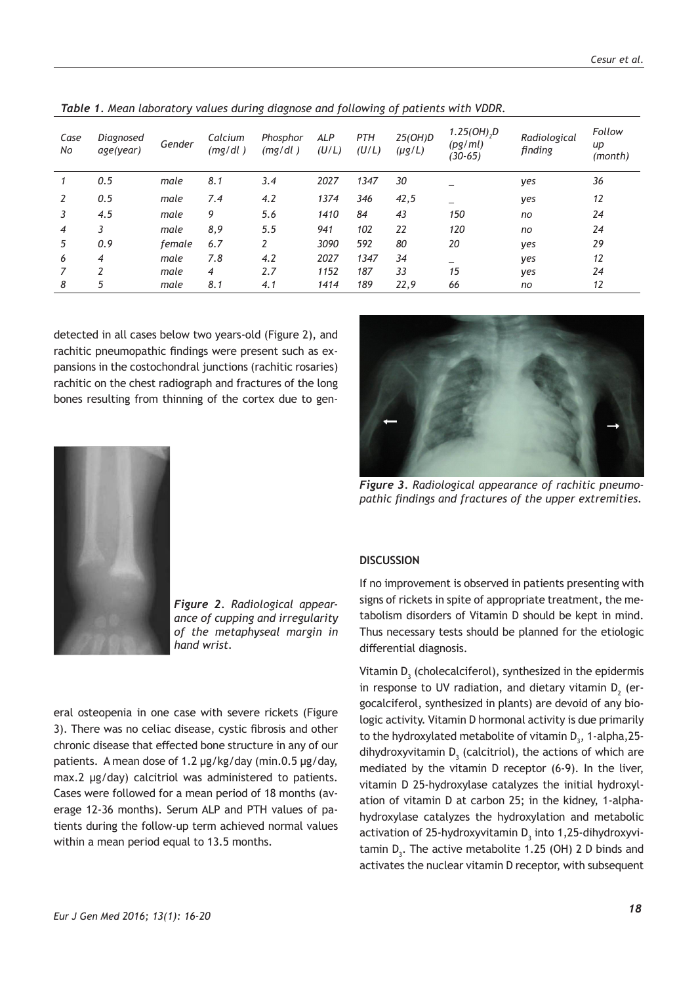| Case<br>No | Diagnosed<br>age(year) | Gender | Calcium<br>(mg/dl) | Phosphor<br>(mg/dl) | <b>ALP</b><br>(U/L) | PTH<br>(U/L) | 25(OH)D<br>$(\mu g/L)$ | 1.25(OH),D<br>(pg/ml)<br>$(30-65)$ | Radiological<br>finding | Follow<br>иp<br>(month) |
|------------|------------------------|--------|--------------------|---------------------|---------------------|--------------|------------------------|------------------------------------|-------------------------|-------------------------|
|            | 0.5                    | male   | 8.1                | 3.4                 | 2027                | 1347         | 30                     |                                    | yes                     | 36                      |
| 2          | 0.5                    | male   | 7.4                | 4.2                 | 1374                | 346          | 42,5                   |                                    | yes                     | 12                      |
| 3          | 4.5                    | male   | 9                  | 5.6                 | 1410                | 84           | 43                     | 150                                | no                      | 24                      |
| 4          | 3                      | male   | 8,9                | 5.5                 | 941                 | 102          | 22                     | 120                                | no                      | 24                      |
| 5          | 0.9                    | female | 6.7                | 2                   | 3090                | 592          | 80                     | 20                                 | yes                     | 29                      |
| 6          | 4                      | male   | 7.8                | 4.2                 | 2027                | 1347         | 34                     |                                    | yes                     | 12                      |
|            | <sup>-</sup>           | male   | 4                  | 2.7                 | 1152                | 187          | 33                     | 15                                 | yes                     | 24                      |
| 8          | 5                      | male   | 8.1                | 4.1                 | 1414                | 189          | 22,9                   | 66                                 | no                      | 12                      |

*Table 1. Mean laboratory values during diagnose and following of patients with VDDR.*

detected in all cases below two years-old (Figure 2), and rachitic pneumopathic findings were present such as expansions in the costochondral junctions (rachitic rosaries) rachitic on the chest radiograph and fractures of the long bones resulting from thinning of the cortex due to gen-



*Figure 3. Radiological appearance of rachitic pneumopathic findings and fractures of the upper extremities.*



*Figure 2. Radiological appearance of cupping and irregularity of the metaphyseal margin in hand wrist.*

eral osteopenia in one case with severe rickets (Figure 3). There was no celiac disease, cystic fibrosis and other chronic disease that effected bone structure in any of our patients. A mean dose of 1.2 µg/kg/day (min.0.5 µg/day, max.2 µg/day) calcitriol was administered to patients. Cases were followed for a mean period of 18 months (average 12-36 months). Serum ALP and PTH values of patients during the follow-up term achieved normal values within a mean period equal to 13.5 months.

## **DISCUSSION**

If no improvement is observed in patients presenting with signs of rickets in spite of appropriate treatment, the metabolism disorders of Vitamin D should be kept in mind. Thus necessary tests should be planned for the etiologic differential diagnosis.

Vitamin  $\mathsf{D}_{_{\!3}}$  (cholecalciferol), synthesized in the epidermis in response to UV radiation, and dietary vitamin  $D_2^{\circ}$  (ergocalciferol, synthesized in plants) are devoid of any biologic activity. Vitamin D hormonal activity is due primarily to the hydroxylated metabolite of vitamin  $D_3$ , 1-alpha,25dihydroxyvitamin  $D_3$  (calcitriol), the actions of which are mediated by the vitamin D receptor (6-9). In the liver, vitamin D 25-hydroxylase catalyzes the initial hydroxylation of vitamin D at carbon 25; in the kidney, 1-alphahydroxylase catalyzes the hydroxylation and metabolic activation of 25-hydroxyvitamin  $\mathsf{D}_{\mathfrak{z}}$  into 1,25-dihydroxyvitamin  $D_3$ . The active metabolite 1.25 (OH) 2 D binds and activates the nuclear vitamin D receptor, with subsequent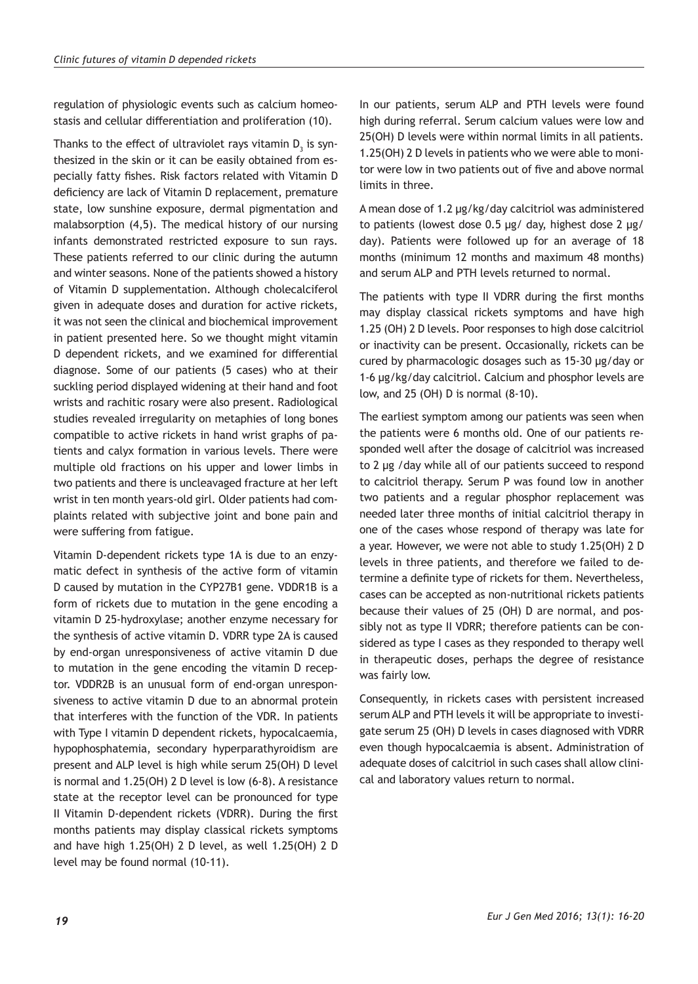regulation of physiologic events such as calcium homeostasis and cellular differentiation and proliferation (10).

Thanks to the effect of ultraviolet rays vitamin  $\mathsf{D}_{_{\!3}}$  is synthesized in the skin or it can be easily obtained from especially fatty fishes. Risk factors related with Vitamin D deficiency are lack of Vitamin D replacement, premature state, low sunshine exposure, dermal pigmentation and malabsorption (4,5). The medical history of our nursing infants demonstrated restricted exposure to sun rays. These patients referred to our clinic during the autumn and winter seasons. None of the patients showed a history of Vitamin D supplementation. Although cholecalciferol given in adequate doses and duration for active rickets, it was not seen the clinical and biochemical improvement in patient presented here. So we thought might vitamin D dependent rickets, and we examined for differential diagnose. Some of our patients (5 cases) who at their suckling period displayed widening at their hand and foot wrists and rachitic rosary were also present. Radiological studies revealed irregularity on metaphies of long bones compatible to active rickets in hand wrist graphs of patients and calyx formation in various levels. There were multiple old fractions on his upper and lower limbs in two patients and there is uncleavaged fracture at her left wrist in ten month years-old girl. Older patients had complaints related with subjective joint and bone pain and were suffering from fatigue.

Vitamin D-dependent rickets type 1A is due to an enzymatic defect in synthesis of the active form of vitamin D caused by mutation in the CYP27B1 gene. VDDR1B is a form of rickets due to mutation in the gene encoding a vitamin D 25-hydroxylase; another enzyme necessary for the synthesis of active vitamin D. VDRR type 2A is caused by end-organ unresponsiveness of active vitamin D due to mutation in the gene encoding the vitamin D receptor. VDDR2B is an unusual form of end-organ unresponsiveness to active vitamin D due to an abnormal protein that interferes with the function of the VDR. In patients with Type I vitamin D dependent rickets, hypocalcaemia, hypophosphatemia, secondary hyperparathyroidism are present and ALP level is high while serum 25(OH) D level is normal and 1.25(OH) 2 D level is low (6-8). A resistance state at the receptor level can be pronounced for type II Vitamin D-dependent rickets (VDRR). During the first months patients may display classical rickets symptoms and have high 1.25(OH) 2 D level, as well 1.25(OH) 2 D level may be found normal (10-11).

In our patients, serum ALP and PTH levels were found high during referral. Serum calcium values were low and 25(OH) D levels were within normal limits in all patients. 1.25(OH) 2 D levels in patients who we were able to monitor were low in two patients out of five and above normal limits in three.

A mean dose of 1.2 µg/kg/day calcitriol was administered to patients (lowest dose 0.5 µg/ day, highest dose 2 µg/ day). Patients were followed up for an average of 18 months (minimum 12 months and maximum 48 months) and serum ALP and PTH levels returned to normal.

The patients with type II VDRR during the first months may display classical rickets symptoms and have high 1.25 (OH) 2 D levels. Poor responses to high dose calcitriol or inactivity can be present. Occasionally, rickets can be cured by pharmacologic dosages such as 15-30 µg/day or 1-6 µg/kg/day calcitriol. Calcium and phosphor levels are low, and 25 (OH) D is normal (8-10).

The earliest symptom among our patients was seen when the patients were 6 months old. One of our patients responded well after the dosage of calcitriol was increased to 2 µg /day while all of our patients succeed to respond to calcitriol therapy. Serum P was found low in another two patients and a regular phosphor replacement was needed later three months of initial calcitriol therapy in one of the cases whose respond of therapy was late for a year. However, we were not able to study 1.25(OH) 2 D levels in three patients, and therefore we failed to determine a definite type of rickets for them. Nevertheless, cases can be accepted as non-nutritional rickets patients because their values of 25 (OH) D are normal, and possibly not as type II VDRR; therefore patients can be considered as type I cases as they responded to therapy well in therapeutic doses, perhaps the degree of resistance was fairly low.

Consequently, in rickets cases with persistent increased serum ALP and PTH levels it will be appropriate to investigate serum 25 (OH) D levels in cases diagnosed with VDRR even though hypocalcaemia is absent. Administration of adequate doses of calcitriol in such cases shall allow clinical and laboratory values return to normal.